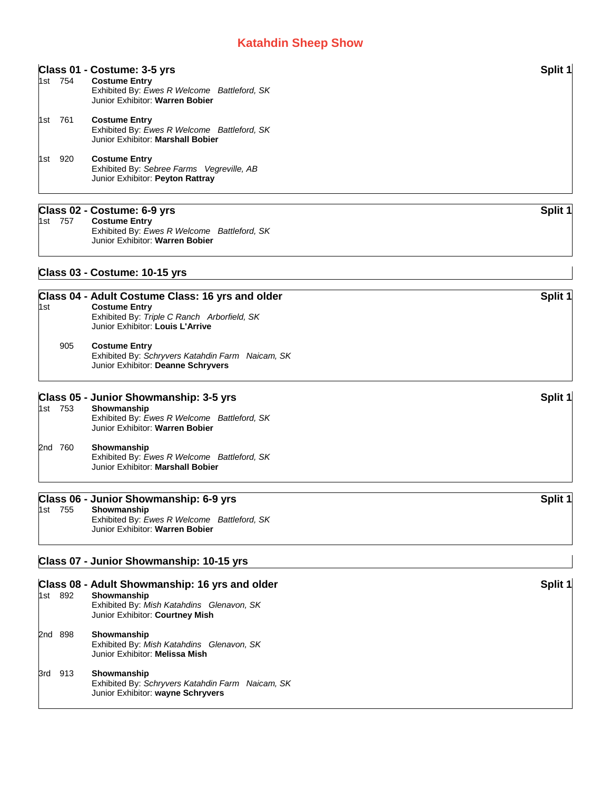|     | 1st 754 | Class 01 - Costume: 3-5 yrs<br><b>Costume Entry</b><br>Exhibited By: Ewes R Welcome Battleford, SK<br>Junior Exhibitor: Warren Bobier                       | Split 1 |
|-----|---------|-------------------------------------------------------------------------------------------------------------------------------------------------------------|---------|
|     | 1st 761 | <b>Costume Entry</b><br>Exhibited By: Ewes R Welcome Battleford, SK<br>Junior Exhibitor: Marshall Bobier                                                    |         |
|     | 1st 920 | <b>Costume Entry</b><br>Exhibited By: Sebree Farms Vegreville, AB<br>Junior Exhibitor: Peyton Rattray                                                       |         |
|     |         | Class 02 - Costume: 6-9 yrs                                                                                                                                 | Split 1 |
|     | 1st 757 | <b>Costume Entry</b><br>Exhibited By: Ewes R Welcome Battleford, SK<br>Junior Exhibitor: Warren Bobier                                                      |         |
|     |         | Class 03 - Costume: 10-15 yrs                                                                                                                               |         |
| 1st |         | Class 04 - Adult Costume Class: 16 yrs and older<br><b>Costume Entry</b><br>Exhibited By: Triple C Ranch Arborfield, SK<br>Junior Exhibitor: Louis L'Arrive | Split 1 |
|     |         |                                                                                                                                                             |         |

#### 905 **Costume Entry** Exhibited By: *Schryvers Katahdin Farm Naicam, SK* Junior Exhibitor: **Deanne Schryvers**

### **Class 05 - Junior Showmanship: 3-5 yrs** Split 1 1st 753 **Showmanship** Exhibited By: *Ewes R Welcome Battleford, SK* Junior Exhibitor: **Warren Bobier**

#### 2nd 760 **Showmanship** Exhibited By: *Ewes R Welcome Battleford, SK* Junior Exhibitor: **Marshall Bobier**

## **Class 06 - Junior Showmanship: 6-9 yrs Split 1**

| 1st | 755 | Showmanship                                 |  |
|-----|-----|---------------------------------------------|--|
|     |     | Exhibited By: Ewes R Welcome Battleford, SK |  |
|     |     | Junior Exhibitor: Warren Bobier             |  |

## **Class 07 - Junior Showmanship: 10-15 yrs**

|     |         | Class 08 - Adult Showmanship: 16 yrs and older                                                       | Split 1 |
|-----|---------|------------------------------------------------------------------------------------------------------|---------|
|     | 1st 892 | Showmanship<br>Exhibited By: Mish Katahdins Glenavon, SK<br>Junior Exhibitor: Courtney Mish          |         |
|     | 2nd 898 | Showmanship<br>Exhibited By: Mish Katahdins Glenavon, SK<br>Junior Exhibitor: Melissa Mish           |         |
| 3rd | 913     | Showmanship<br>Exhibited By: Schryvers Katahdin Farm Naicam, SK<br>Junior Exhibitor: wayne Schryvers |         |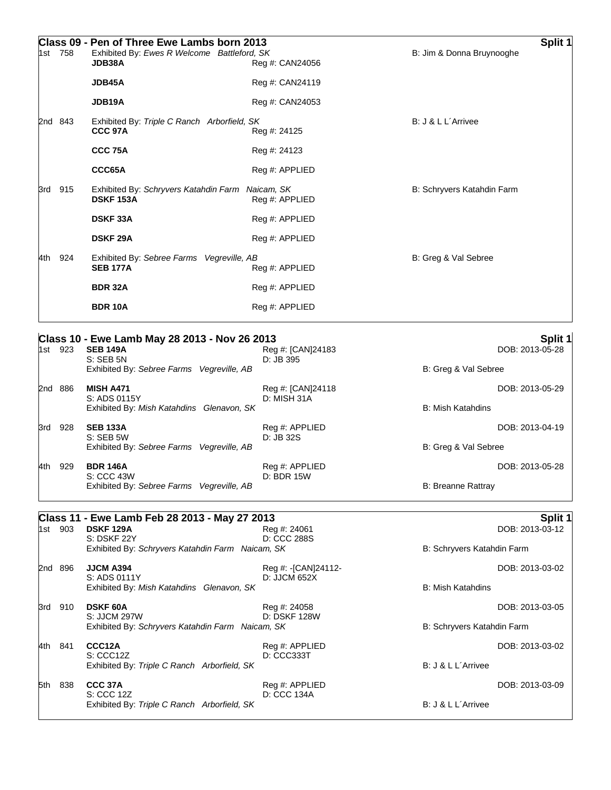| 1st | 758     | Class 09 - Pen of Three Ewe Lambs born 2013<br>Exhibited By: Ewes R Welcome Battleford, SK<br>JDB38A | Reg #: CAN24056              | B: Jim & Donna Bruynooghe  | Split 1 |
|-----|---------|------------------------------------------------------------------------------------------------------|------------------------------|----------------------------|---------|
|     |         | JDB45A                                                                                               | Reg #: CAN24119              |                            |         |
|     |         | JDB19A                                                                                               | Reg #: CAN24053              |                            |         |
|     | 2nd 843 | Exhibited By: Triple C Ranch Arborfield, SK<br>CCC 97A                                               | Reg #: 24125                 | B: J & L L'Arrivee         |         |
|     |         | CCC 75A                                                                                              | Reg #: 24123                 |                            |         |
|     |         | CCC65A                                                                                               | Reg #: APPLIED               |                            |         |
| 3rd | 915     | Exhibited By: Schryvers Katahdin Farm<br><b>DSKF 153A</b>                                            | Naicam, SK<br>Reg #: APPLIED | B: Schryvers Katahdin Farm |         |
|     |         | <b>DSKF 33A</b>                                                                                      | Reg #: APPLIED               |                            |         |
|     |         | <b>DSKF 29A</b>                                                                                      | Reg #: APPLIED               |                            |         |
| 4th | 924     | Exhibited By: Sebree Farms<br>Vegreville, AB<br><b>SEB 177A</b>                                      | Reg #: APPLIED               | B: Greg & Val Sebree       |         |
|     |         | <b>BDR 32A</b>                                                                                       | Reg #: APPLIED               |                            |         |
|     |         | <b>BDR 10A</b>                                                                                       | Reg #: APPLIED               |                            |         |

| Class 10 - Ewe Lamb May 28 2013 - Nov 26 2013 | Split 1 |
|-----------------------------------------------|---------|
|-----------------------------------------------|---------|

| 1st | 923 | <b>SEB 149A</b><br>$S:$ SEB 5N                          | Reg #: [CAN]24183<br>$D:JB$ 395  | DOB: 2013-05-28          |
|-----|-----|---------------------------------------------------------|----------------------------------|--------------------------|
|     |     | Exhibited By: Sebree Farms Vegreville, AB               |                                  | B: Greg & Val Sebree     |
| 2nd | 886 | <b>MISH A471</b><br>S: ADS 0115Y                        | Reg #: [CAN]24118<br>D: MISH 31A | DOB: 2013-05-29          |
|     |     | Exhibited By: Mish Katahdins Glenavon, SK               |                                  | <b>B: Mish Katahdins</b> |
| 3rd | 928 | <b>SEB 133A</b><br>$S:$ SEB 5W                          | Reg #: APPLIED<br>$D:JB$ 32S     | DOB: 2013-04-19          |
|     |     | Exhibited By: Sebree Farms Vegreville, AB               |                                  | B: Greg & Val Sebree     |
| 4th | 929 | <b>BDR 146A</b>                                         | Reg #: APPLIED                   | DOB: 2013-05-28          |
|     |     | S: CCC 43W<br>Exhibited By: Sebree Farms Vegreville, AB | D: BDR 15W                       | B: Breanne Rattray       |

# **Class 11 - Ewe Lamb Feb 28 2013 - May 27 2013 Split 1**

| 1st     | 903 | <b>DSKF 129A</b><br>S: DSKF 22Y                                  | Reg #: 24061<br>D: CCC 288S |                            | DOB: 2013-03-12 |
|---------|-----|------------------------------------------------------------------|-----------------------------|----------------------------|-----------------|
|         |     | Exhibited By: Schryvers Katahdin Farm Naicam, SK                 |                             | B: Schryvers Katahdin Farm |                 |
| 2nd 896 |     | <b>JJCM A394</b>                                                 | Reg #: - [CAN] 24112-       |                            | DOB: 2013-03-02 |
|         |     | S: ADS 0111Y<br>Exhibited By: Mish Katahdins Glenavon, SK        | D: JJCM 652X                | B: Mish Katahdins          |                 |
| 3rd     | 910 | <b>DSKF 60A</b>                                                  | Reg #: 24058                |                            | DOB: 2013-03-05 |
|         |     | S: JJCM 297W<br>Exhibited By: Schryvers Katahdin Farm Naicam, SK | <b>D: DSKF 128W</b>         | B: Schryvers Katahdin Farm |                 |
| 4th     | 841 | CCC12A                                                           | Reg #: APPLIED              |                            | DOB: 2013-03-02 |
|         |     | S: CC12Z<br>Exhibited By: Triple C Ranch Arborfield, SK          | D: CCC333T                  | B: J & L L'Arrivee         |                 |
| 5th     | 838 | CCC 37A                                                          | Reg #: APPLIED              |                            | DOB: 2013-03-09 |
|         |     | S: CCC 12Z<br>Exhibited By: Triple C Ranch Arborfield, SK        | D: CCC 134A                 | B: J & L L'Arrivee         |                 |
|         |     |                                                                  |                             |                            |                 |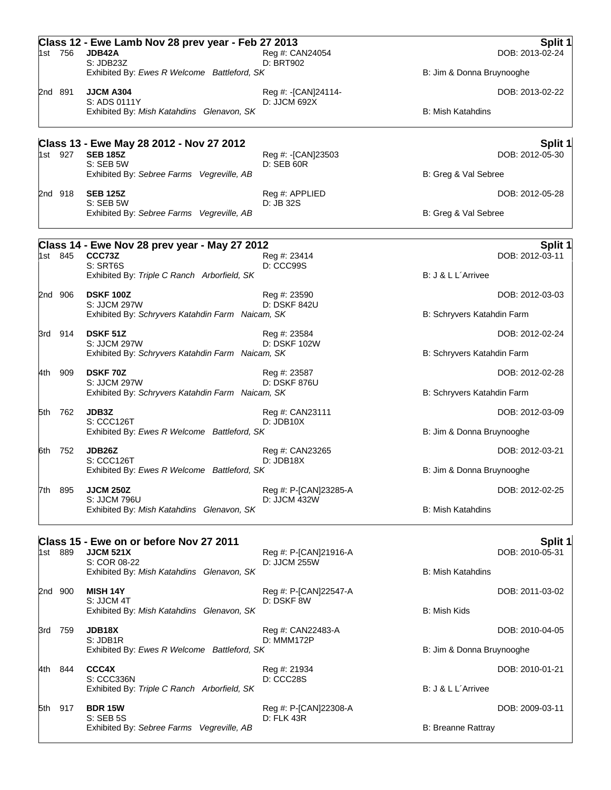|       | 1st 756 | Class 12 - Ewe Lamb Nov 28 prev year - Feb 27 2013<br>JDB42A<br>S:JDB23Z | Reg #: CAN24054<br>D: BRT902            | Split 1<br>DOB: 2013-02-24 |
|-------|---------|--------------------------------------------------------------------------|-----------------------------------------|----------------------------|
|       |         | Exhibited By: Ewes R Welcome Battleford, SK                              |                                         | B: Jim & Donna Bruynooghe  |
|       | 2nd 891 | <b>JJCM A304</b><br>S: ADS 0111Y                                         | Reg #: -[CAN]24114-<br>D: JJCM 692X     | DOB: 2013-02-22            |
|       |         | Exhibited By: Mish Katahdins Glenavon, SK                                |                                         | <b>B: Mish Katahdins</b>   |
|       |         | Class 13 - Ewe May 28 2012 - Nov 27 2012                                 |                                         | Split 1                    |
|       | 1st 927 | <b>SEB 185Z</b><br>S: SEB 5W                                             | Reg #: -[CAN]23503<br><b>D: SEB 60R</b> | DOB: 2012-05-30            |
|       |         | Exhibited By: Sebree Farms Vegreville, AB                                |                                         | B: Greg & Val Sebree       |
|       | 2nd 918 | <b>SEB 125Z</b><br>S: SEB 5W                                             | Reg #: APPLIED<br>D: JB 32S             | DOB: 2012-05-28            |
|       |         | Exhibited By: Sebree Farms Vegreville, AB                                |                                         | B: Greg & Val Sebree       |
|       |         | Class 14 - Ewe Nov 28 prev year - May 27 2012                            |                                         | Split 1                    |
|       | 1st 845 | CCC73Z<br>S: SRT6S                                                       | Reg #: 23414<br>D: CCC99S               | DOB: 2012-03-11            |
|       |         | Exhibited By: Triple C Ranch Arborfield, SK                              |                                         | B: J & L L'Arrivee         |
|       | 2nd 906 | <b>DSKF 100Z</b>                                                         | Reg #: 23590<br>D: DSKF 842U            | DOB: 2012-03-03            |
|       |         | S: JJCM 297W<br>Exhibited By: Schryvers Katahdin Farm Naicam, SK         |                                         | B: Schryvers Katahdin Farm |
|       | 3rd 914 | <b>DSKF 51Z</b>                                                          | Reg #: 23584                            | DOB: 2012-02-24            |
|       |         | S: JJCM 297W<br>Exhibited By: Schryvers Katahdin Farm Naicam, SK         | D: DSKF 102W                            | B: Schryvers Katahdin Farm |
| 4th   | 909     | <b>DSKF70Z</b>                                                           | Reg #: 23587                            | DOB: 2012-02-28            |
|       |         | S: JJCM 297W<br>Exhibited By: Schryvers Katahdin Farm Naicam, SK         | D: DSKF 876U                            | B: Schryvers Katahdin Farm |
|       | 5th 762 | JDB3Z                                                                    | Reg #: CAN23111                         | DOB: 2012-03-09            |
|       |         | S: CCC126T                                                               | D: JDB10X                               |                            |
|       |         | Exhibited By: Ewes R Welcome Battleford, SK                              |                                         | B: Jim & Donna Bruynooghe  |
| 6th   | 752     | JDB26Z<br>S: CCC126T                                                     | Reg #: CAN23265<br>D:JDB18X             | DOB: 2012-03-21            |
|       |         | Exhibited By: Ewes R Welcome Battleford, SK                              |                                         | B: Jim & Donna Bruynooghe  |
| 7th - | 895     | <b>JJCM 250Z</b><br>S: JJCM 796U                                         | Reg #: P-[CAN]23285-A<br>D: JJCM 432W   | DOB: 2012-02-25            |
|       |         | Exhibited By: Mish Katahdins Glenavon, SK                                |                                         | <b>B: Mish Katahdins</b>   |
|       |         | Class 15 - Ewe on or before Nov 27 2011                                  |                                         | Split 1                    |
|       | 1st 889 | <b>JJCM 521X</b><br>S: COR 08-22                                         | Reg #: P-[CAN]21916-A<br>D: JJCM 255W   | DOB: 2010-05-31            |
|       |         | Exhibited By: Mish Katahdins Glenavon, SK                                |                                         | <b>B: Mish Katahdins</b>   |
|       | 2nd 900 | <b>MISH 14Y</b><br>S: JJCM 4T                                            | Reg #: P-[CAN]22547-A<br>D: DSKF 8W     | DOB: 2011-03-02            |
|       |         | Exhibited By: Mish Katahdins Glenavon, SK                                |                                         | B: Mish Kids               |
| 3rd   | 759     | <b>JDB18X</b>                                                            | Reg #: CAN22483-A                       | DOB: 2010-04-05            |
|       |         | S: JDB1R<br>Exhibited By: Ewes R Welcome Battleford, SK                  | D: MMM172P                              | B: Jim & Donna Bruynooghe  |
| 4th l | 844     | CCC4X                                                                    | Reg #: 21934                            | DOB: 2010-01-21            |
|       |         | S: CCC336N<br>Exhibited By: Triple C Ranch Arborfield, SK                | D: CCC28S                               | B: J & L L'Arrivee         |
| 5th   | 917     | <b>BDR 15W</b>                                                           | Reg #: P-[CAN]22308-A                   | DOB: 2009-03-11            |
|       |         | <b>S: SEB 5S</b>                                                         | D: FLK 43R                              |                            |
|       |         | Exhibited By: Sebree Farms Vegreville, AB                                |                                         | <b>B: Breanne Rattray</b>  |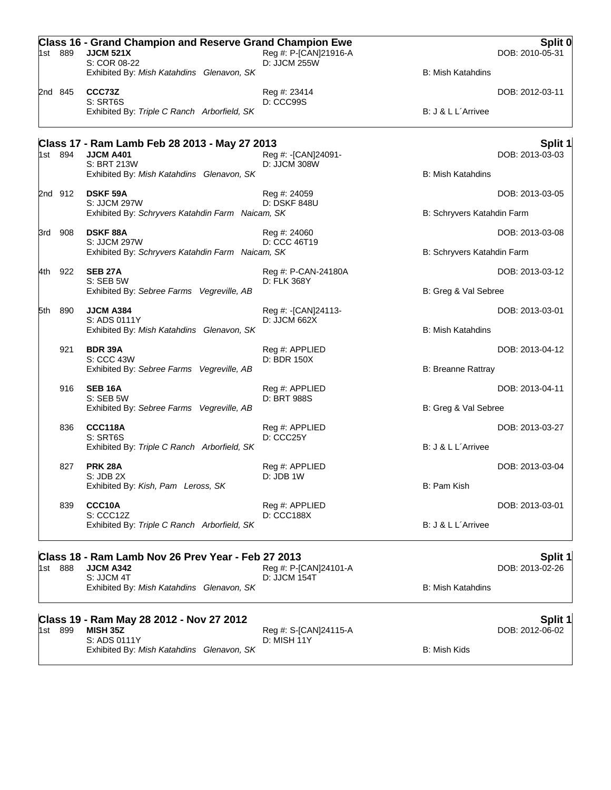|     | 1st 889 | <b>Class 16 - Grand Champion and Reserve Grand Champion Ewe</b><br><b>JJCM 521X</b><br>S: COR 08-22 | Reg #: P-[CAN]21916-A<br>D: JJCM 255W |                            | Split 0<br>DOB: 2010-05-31 |
|-----|---------|-----------------------------------------------------------------------------------------------------|---------------------------------------|----------------------------|----------------------------|
|     |         | Exhibited By: Mish Katahdins Glenavon, SK                                                           |                                       | <b>B: Mish Katahdins</b>   |                            |
|     | 2nd 845 | CCC73Z<br>S: SRT6S<br>Exhibited By: Triple C Ranch Arborfield, SK                                   | Reg #: 23414<br>D: CCC99S             | B: J & L L'Arrivee         | DOB: 2012-03-11            |
|     |         | Class 17 - Ram Lamb Feb 28 2013 - May 27 2013                                                       |                                       |                            | Split 1                    |
|     | 1st 894 | <b>JJCM A401</b><br>S: BRT 213W                                                                     | Reg #: -[CAN]24091-<br>D: JJCM 308W   |                            | DOB: 2013-03-03            |
|     |         | Exhibited By: Mish Katahdins Glenavon, SK                                                           |                                       | <b>B: Mish Katahdins</b>   |                            |
|     | 2nd 912 | <b>DSKF 59A</b><br>S: JJCM 297W                                                                     | Reg #: 24059<br><b>D: DSKF 848U</b>   |                            | DOB: 2013-03-05            |
|     |         | Exhibited By: Schryvers Katahdin Farm Naicam, SK                                                    |                                       | B: Schryvers Katahdin Farm |                            |
|     | 3rd 908 | <b>DSKF88A</b>                                                                                      | Reg #: 24060                          |                            | DOB: 2013-03-08            |
|     |         | S: JJCM 297W<br>Exhibited By: Schryvers Katahdin Farm Naicam, SK                                    | D: CCC 46T19                          | B: Schryvers Katahdin Farm |                            |
|     | 4th 922 | <b>SEB 27A</b>                                                                                      | Reg #: P-CAN-24180A                   |                            | DOB: 2013-03-12            |
|     |         | S: SEB 5W<br>Exhibited By: Sebree Farms Vegreville, AB                                              | D: FLK 368Y                           | B: Greg & Val Sebree       |                            |
|     |         |                                                                                                     |                                       |                            |                            |
| 5th | 890     | JJCM A384<br>S: ADS 0111Y                                                                           | Reg #: -[CAN]24113-<br>D: JJCM 662X   |                            | DOB: 2013-03-01            |
|     |         | Exhibited By: Mish Katahdins Glenavon, SK                                                           |                                       | <b>B: Mish Katahdins</b>   |                            |
|     | 921     | <b>BDR 39A</b><br>S: CCC 43W                                                                        | Reg #: APPLIED<br>D: BDR 150X         |                            | DOB: 2013-04-12            |
|     |         | Exhibited By: Sebree Farms Vegreville, AB                                                           |                                       | <b>B: Breanne Rattray</b>  |                            |
|     | 916     | <b>SEB 16A</b>                                                                                      | Reg #: APPLIED                        |                            | DOB: 2013-04-11            |
|     |         | S: SEB 5W<br>Exhibited By: Sebree Farms Vegreville, AB                                              | D: BRT 988S                           | B: Greg & Val Sebree       |                            |
|     | 836     | <b>CCC118A</b>                                                                                      | Reg #: APPLIED                        |                            | DOB: 2013-03-27            |
|     |         | S: SRT6S<br>Exhibited By: Triple C Ranch Arborfield, SK                                             | D: CCC25Y                             | B: J & L L'Arrivee         |                            |
|     |         |                                                                                                     |                                       |                            |                            |
|     | 827     | <b>PRK 28A</b><br>S: JDB 2X                                                                         | Reg #: APPLIED<br>D: JDB 1W           |                            | DOB: 2013-03-04            |
|     |         | Exhibited By: Kish, Pam Leross, SK                                                                  |                                       | B: Pam Kish                |                            |
|     | 839     | CCC10A<br>S: CCC12Z                                                                                 | Reg #: APPLIED<br><b>D: CCC188X</b>   |                            | DOB: 2013-03-01            |
|     |         | Exhibited By: Triple C Ranch Arborfield, SK                                                         |                                       | B: J & L L'Arrivee         |                            |
|     |         | Class 18 - Ram Lamb Nov 26 Prev Year - Feb 27 2013                                                  |                                       |                            | Split 1                    |
|     | 1st 888 | JJCM A342                                                                                           | Reg #: P-[CAN]24101-A                 |                            | DOB: 2013-02-26            |
|     |         | S: JJCM 4T<br>Exhibited By: Mish Katahdins Glenavon, SK                                             | D: JJCM 154T                          | <b>B: Mish Katahdins</b>   |                            |
|     |         | Class 19 - Ram May 28 2012 - Nov 27 2012                                                            |                                       |                            | Split 1                    |
|     | 1st 899 | <b>MISH 35Z</b>                                                                                     | Reg #: S-[CAN]24115-A                 |                            | DOB: 2012-06-02            |
|     |         | S: ADS 0111Y<br>Exhibited By: Mish Katahdins Glenavon, SK                                           | D: MISH 11Y                           | B: Mish Kids               |                            |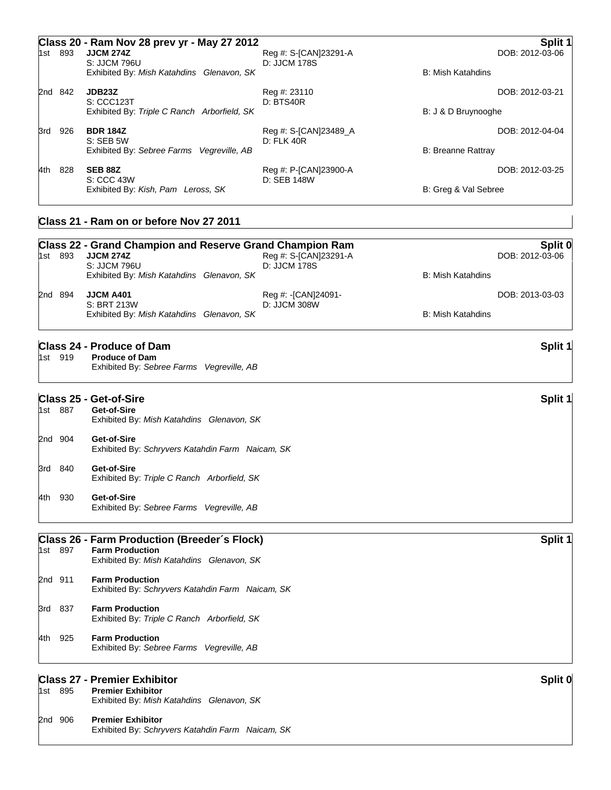|     |         | Class 20 - Ram Nov 28 prev yr - May 27 2012            |                                       | Split '                   |
|-----|---------|--------------------------------------------------------|---------------------------------------|---------------------------|
| 1st | 893     | <b>JJCM 274Z</b><br>S: JJCM 796U                       | Reg #: S-[CAN]23291-A<br>D: JJCM 178S | DOB: 2012-03-06           |
|     |         | Exhibited By: Mish Katahdins Glenavon, SK              |                                       | B: Mish Katahdins         |
|     | 2nd 842 | JDB <sub>23</sub> Z<br>S: CCC123T                      | Reg #: 23110<br>D: BTS40R             | DOB: 2012-03-21           |
|     |         | Exhibited By: Triple C Ranch Arborfield, SK            |                                       | B: J & D Bruynooghe       |
| 3rd | 926     | <b>BDR 184Z</b>                                        | Reg #: S-[CAN]23489_A                 | DOB: 2012-04-04           |
|     |         | S: SEB 5W<br>Exhibited By: Sebree Farms Vegreville, AB | D: FLK 40R                            | <b>B: Breanne Rattray</b> |
| 4th | 828     | <b>SEB 88Z</b>                                         | Reg #: P-[CAN]23900-A                 | DOB: 2012-03-25           |
|     |         | S: CCC 43W<br>Exhibited By: Kish, Pam Leross, SK       | D: SEB 148W                           | B: Greg & Val Sebree      |
|     |         | Class 21 - Ram on or before Nov 27 2011                |                                       |                           |

|     | 1st 893 | <b>Class 22 - Grand Champion and Reserve Grand Champion Ram</b><br><b>JJCM 274Z</b><br>Reg #: S-[CAN]23291-A | Split 0<br>DOB: 2012-03-06 |  |
|-----|---------|--------------------------------------------------------------------------------------------------------------|----------------------------|--|
|     |         | S: JJCM 796U<br>D: JJCM 178S                                                                                 |                            |  |
|     |         | Exhibited By: Mish Katahdins Glenavon, SK                                                                    | <b>B: Mish Katahdins</b>   |  |
|     | 2nd 894 | <b>JJCM A401</b><br>Reg #: -[CAN]24091-                                                                      | DOB: 2013-03-03            |  |
|     |         | S: BRT 213W<br>D: JJCM 308W                                                                                  |                            |  |
|     |         | Exhibited By: Mish Katahdins Glenavon, SK                                                                    | <b>B: Mish Katahdins</b>   |  |
|     |         | <b>Class 24 - Produce of Dam</b>                                                                             | Split 1                    |  |
|     | 1st 919 | <b>Produce of Dam</b>                                                                                        |                            |  |
|     |         | Exhibited By: Sebree Farms Vegreville, AB                                                                    |                            |  |
|     |         | <b>Class 25 - Get-of-Sire</b>                                                                                | Split 1                    |  |
|     | 1st 887 | Get-of-Sire                                                                                                  |                            |  |
|     |         | Exhibited By: Mish Katahdins Glenavon, SK                                                                    |                            |  |
|     | 2nd 904 | Get-of-Sire                                                                                                  |                            |  |
|     |         | Exhibited By: Schryvers Katahdin Farm Naicam, SK                                                             |                            |  |
| 3rd | 840     | Get-of-Sire                                                                                                  |                            |  |
|     |         | Exhibited By: Triple C Ranch Arborfield, SK                                                                  |                            |  |
|     | 4th 930 | Get-of-Sire                                                                                                  |                            |  |
|     |         | Exhibited By: Sebree Farms Vegreville, AB                                                                    |                            |  |
|     |         | Class 26 - Farm Production (Breeder's Flock)                                                                 | Split 1                    |  |
|     | 1st 897 | <b>Farm Production</b>                                                                                       |                            |  |
|     |         | Exhibited By: Mish Katahdins Glenavon, SK                                                                    |                            |  |
|     | 2nd 911 | <b>Farm Production</b>                                                                                       |                            |  |
|     |         | Exhibited By: Schryvers Katahdin Farm Naicam, SK                                                             |                            |  |
|     | 3rd 837 | <b>Farm Production</b>                                                                                       |                            |  |
|     |         | Exhibited By: Triple C Ranch Arborfield, SK                                                                  |                            |  |
|     | 4th 925 | <b>Farm Production</b>                                                                                       |                            |  |
|     |         | Exhibited By: Sebree Farms Vegreville, AB                                                                    |                            |  |
|     |         | <b>Class 27 - Premier Exhibitor</b>                                                                          | Split 0                    |  |
|     | 1st 895 | <b>Premier Exhibitor</b>                                                                                     |                            |  |
|     |         | Exhibited By: Mish Katahdins Glenavon, SK                                                                    |                            |  |
|     | 2nd 906 | <b>Premier Exhibitor</b>                                                                                     |                            |  |
|     |         | Exhibited By: Schryvers Katahdin Farm Naicam, SK                                                             |                            |  |
|     |         |                                                                                                              |                            |  |